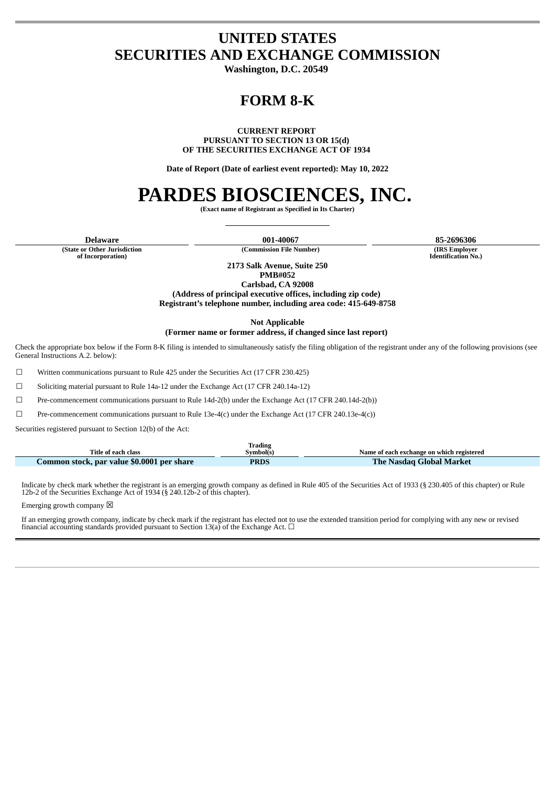## **UNITED STATES SECURITIES AND EXCHANGE COMMISSION**

**Washington, D.C. 20549**

# **FORM 8-K**

**CURRENT REPORT**

**PURSUANT TO SECTION 13 OR 15(d) OF THE SECURITIES EXCHANGE ACT OF 1934**

**Date of Report (Date of earliest event reported): May 10, 2022**

# **PARDES BIOSCIENCES, INC.**

**(Exact name of Registrant as Specified in Its Charter)**

**Delaware 001-40067 85-2696306**

**(State or Other Jurisdiction of Incorporation)**

 $(Commission File Number)$ 

**Identification No.)**

**2173 Salk Avenue, Suite 250 PMB#052**

**Carlsbad, CA 92008 (Address of principal executive offices, including zip code) Registrant's telephone number, including area code: 415-649-8758**

**Not Applicable**

**(Former name or former address, if changed since last report)**

Check the appropriate box below if the Form 8-K filing is intended to simultaneously satisfy the filing obligation of the registrant under any of the following provisions (see General Instructions A.2. below):

☐ Written communications pursuant to Rule 425 under the Securities Act (17 CFR 230.425)

☐ Soliciting material pursuant to Rule 14a-12 under the Exchange Act (17 CFR 240.14a-12)

☐ Pre-commencement communications pursuant to Rule 14d-2(b) under the Exchange Act (17 CFR 240.14d-2(b))

☐ Pre-commencement communications pursuant to Rule 13e-4(c) under the Exchange Act (17 CFR 240.13e-4(c))

Securities registered pursuant to Section 12(b) of the Act:

|                                            | Frading |                                           |  |  |
|--------------------------------------------|---------|-------------------------------------------|--|--|
| Title of each class<br>Symbol(s)           |         | Name of each exchange on which registered |  |  |
| Common stock, par value \$0.0001 per share | PRDS    | <b>The Nasdag Global Market</b>           |  |  |

Indicate by check mark whether the registrant is an emerging growth company as defined in Rule 405 of the Securities Act of 1933 (§ 230.405 of this chapter) or Rule 12b-2 of the Securities Exchange Act of 1934 (§ 240.12b-2 of this chapter).

Emerging growth company  $\boxtimes$ 

П

If an emerging growth company, indicate by check mark if the registrant has elected not to use the extended transition period for complying with any new or revised financial accounting standards provided pursuant to Section 13(a) of the Exchange Act.  $\Box$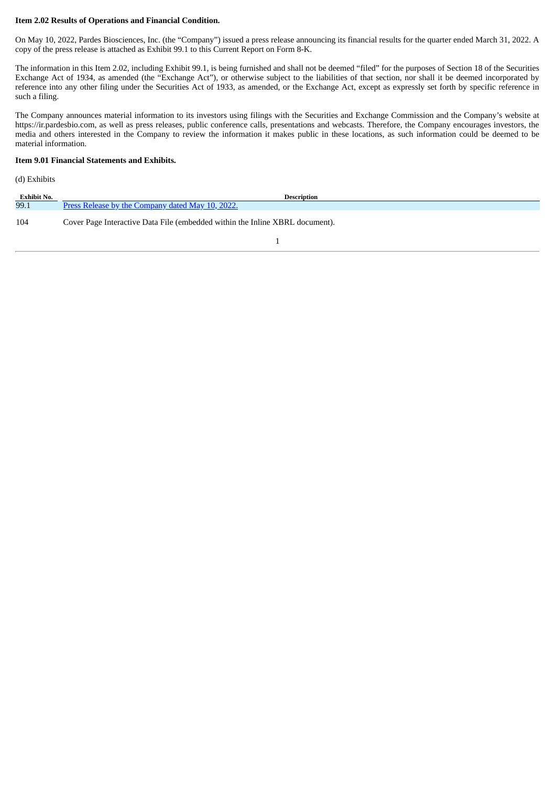#### **Item 2.02 Results of Operations and Financial Condition.**

On May 10, 2022, Pardes Biosciences, Inc. (the "Company") issued a press release announcing its financial results for the quarter ended March 31, 2022. A copy of the press release is attached as Exhibit 99.1 to this Current Report on Form 8-K.

The information in this Item 2.02, including Exhibit 99.1, is being furnished and shall not be deemed "filed" for the purposes of Section 18 of the Securities Exchange Act of 1934, as amended (the "Exchange Act"), or otherwise subject to the liabilities of that section, nor shall it be deemed incorporated by reference into any other filing under the Securities Act of 1933, as amended, or the Exchange Act, except as expressly set forth by specific reference in such a filing.

The Company announces material information to its investors using filings with the Securities and Exchange Commission and the Company's website at https://ir.pardesbio.com, as well as press releases, public conference calls, presentations and webcasts. Therefore, the Company encourages investors, the media and others interested in the Company to review the information it makes public in these locations, as such information could be deemed to be material information.

#### **Item 9.01 Financial Statements and Exhibits.**

#### (d) Exhibits

| <b>Exhibit No.</b> | <b>Description</b>                                                           |
|--------------------|------------------------------------------------------------------------------|
| 99.1               | Press Release by the Company dated May 10, 2022.                             |
| 104                | Cover Page Interactive Data File (embedded within the Inline XBRL document). |
|                    |                                                                              |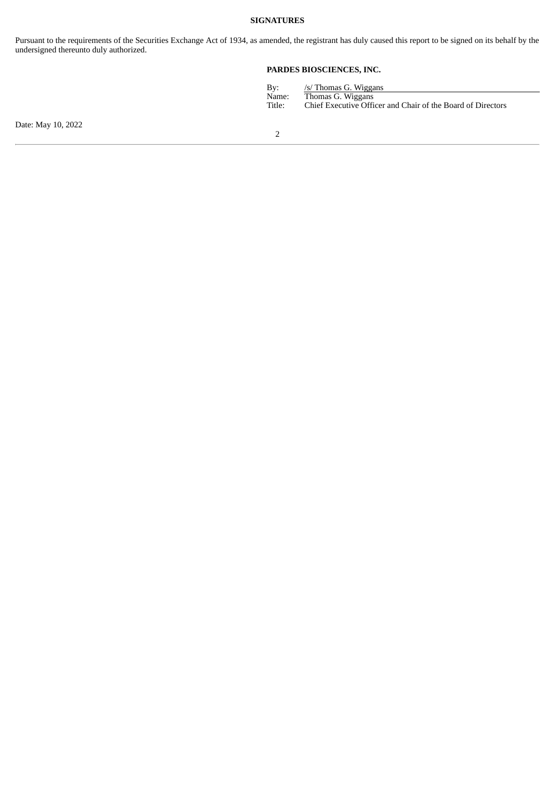#### **SIGNATURES**

Pursuant to the requirements of the Securities Exchange Act of 1934, as amended, the registrant has duly caused this report to be signed on its behalf by the undersigned thereunto duly authorized.

### **PARDES BIOSCIENCES, INC.**

| By:    | /s/ Thomas G. Wiggans                                       |
|--------|-------------------------------------------------------------|
| Name:  | Thomas G. Wiggans                                           |
| Title: | Chief Executive Officer and Chair of the Board of Directors |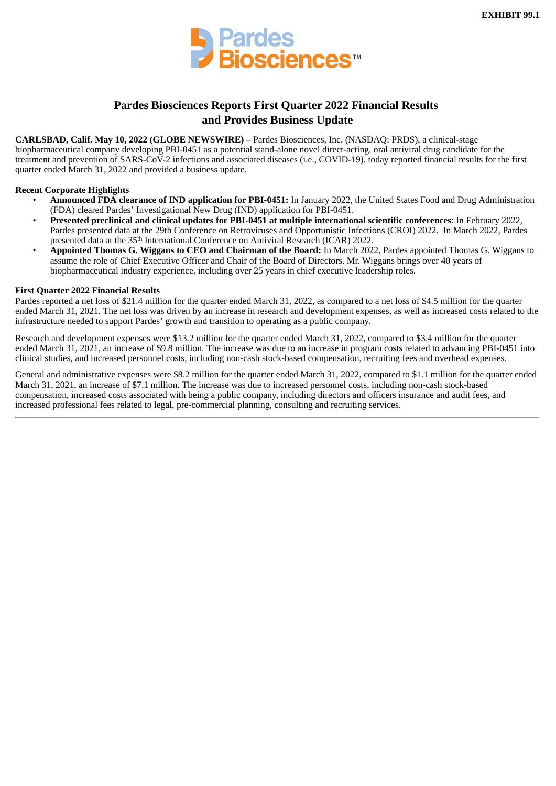

## **Pardes Biosciences Reports First Quarter 2022 Financial Results and Provides Business Update**

<span id="page-3-0"></span>**CARLSBAD, Calif. May 10, 2022 (GLOBE NEWSWIRE)** – Pardes Biosciences, Inc. (NASDAQ: PRDS), a clinical-stage biopharmaceutical company developing PBI-0451 as a potential stand-alone novel direct-acting, oral antiviral drug candidate for the treatment and prevention of SARS-CoV-2 infections and associated diseases (i.e., COVID-19), today reported financial results for the first quarter ended March 31, 2022 and provided a business update.

#### **Recent Corporate Highlights**

- **Announced FDA clearance of IND application for PBI-0451:** In January 2022, the United States Food and Drug Administration (FDA) cleared Pardes' Investigational New Drug (IND) application for PBI-0451.
- **Presented preclinical and clinical updates for PBI-0451 at multiple international scientific conferences**: In February 2022, Pardes presented data at the 29th Conference on Retroviruses and Opportunistic Infections (CROI) 2022. In March 2022, Pardes presented data at the 35<sup>th</sup> International Conference on Antiviral Research (ICAR) 2022.
- **Appointed Thomas G. Wiggans to CEO and Chairman of the Board:** In March 2022, Pardes appointed Thomas G. Wiggans to assume the role of Chief Executive Officer and Chair of the Board of Directors. Mr. Wiggans brings over 40 years of biopharmaceutical industry experience, including over 25 years in chief executive leadership roles.

#### **First Quarter 2022 Financial Results**

Pardes reported a net loss of \$21.4 million for the quarter ended March 31, 2022, as compared to a net loss of \$4.5 million for the quarter ended March 31, 2021. The net loss was driven by an increase in research and development expenses, as well as increased costs related to the infrastructure needed to support Pardes' growth and transition to operating as a public company.

Research and development expenses were \$13.2 million for the quarter ended March 31, 2022, compared to \$3.4 million for the quarter ended March 31, 2021, an increase of \$9.8 million. The increase was due to an increase in program costs related to advancing PBI-0451 into clinical studies, and increased personnel costs, including non-cash stock-based compensation, recruiting fees and overhead expenses.

General and administrative expenses were \$8.2 million for the quarter ended March 31, 2022, compared to \$1.1 million for the quarter ended March 31, 2021, an increase of \$7.1 million. The increase was due to increased personnel costs, including non-cash stock-based compensation, increased costs associated with being a public company, including directors and officers insurance and audit fees, and increased professional fees related to legal, pre-commercial planning, consulting and recruiting services.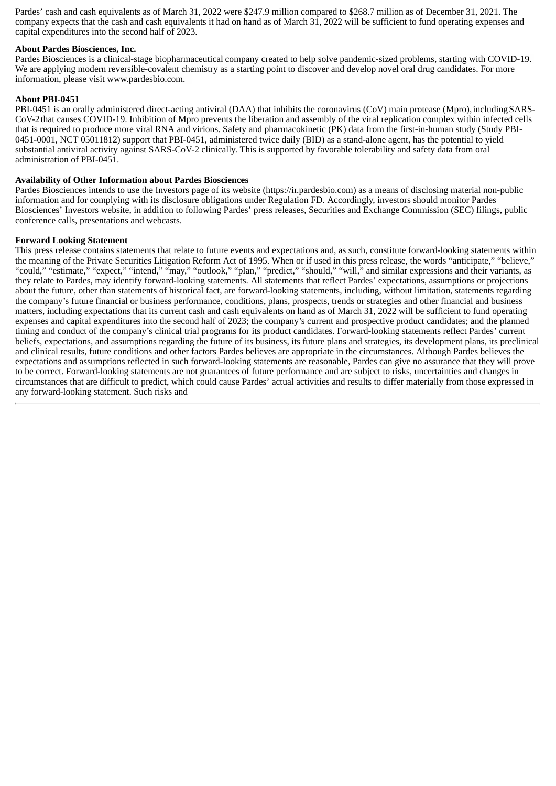Pardes' cash and cash equivalents as of March 31, 2022 were \$247.9 million compared to \$268.7 million as of December 31, 2021. The company expects that the cash and cash equivalents it had on hand as of March 31, 2022 will be sufficient to fund operating expenses and capital expenditures into the second half of 2023.

#### **About Pardes Biosciences, Inc.**

Pardes Biosciences is a clinical-stage biopharmaceutical company created to help solve pandemic-sized problems, starting with COVID-19. We are applying modern reversible-covalent chemistry as a starting point to discover and develop novel oral drug candidates. For more information, please visit www.pardesbio.com.

#### **About PBI-0451**

PBI-0451 is an orally administered direct-acting antiviral (DAA) that inhibits the coronavirus (CoV) main protease (Mpro), including SARS-CoV-2that causes COVID-19. Inhibition of Mpro prevents the liberation and assembly of the viral replication complex within infected cells that is required to produce more viral RNA and virions. Safety and pharmacokinetic (PK) data from the first-in-human study (Study PBI-0451-0001, NCT 05011812) support that PBI-0451, administered twice daily (BID) as a stand-alone agent, has the potential to yield substantial antiviral activity against SARS-CoV-2 clinically. This is supported by favorable tolerability and safety data from oral administration of PBI-0451.

#### **Availability of Other Information about Pardes Biosciences**

Pardes Biosciences intends to use the Investors page of its website (https://ir.pardesbio.com) as a means of disclosing material non-public information and for complying with its disclosure obligations under Regulation FD. Accordingly, investors should monitor Pardes Biosciences' Investors website, in addition to following Pardes' press releases, Securities and Exchange Commission (SEC) filings, public conference calls, presentations and webcasts.

#### **Forward Looking Statement**

This press release contains statements that relate to future events and expectations and, as such, constitute forward-looking statements within the meaning of the Private Securities Litigation Reform Act of 1995. When or if used in this press release, the words "anticipate," "believe," "could," "estimate," "expect," "intend," "may," "outlook," "plan," "predict," "should," "will," and similar expressions and their variants, as they relate to Pardes, may identify forward-looking statements. All statements that reflect Pardes' expectations, assumptions or projections about the future, other than statements of historical fact, are forward-looking statements, including, without limitation, statements regarding the company's future financial or business performance, conditions, plans, prospects, trends or strategies and other financial and business matters, including expectations that its current cash and cash equivalents on hand as of March 31, 2022 will be sufficient to fund operating expenses and capital expenditures into the second half of 2023; the company's current and prospective product candidates; and the planned timing and conduct of the company's clinical trial programs for its product candidates. Forward-looking statements reflect Pardes' current beliefs, expectations, and assumptions regarding the future of its business, its future plans and strategies, its development plans, its preclinical and clinical results, future conditions and other factors Pardes believes are appropriate in the circumstances. Although Pardes believes the expectations and assumptions reflected in such forward-looking statements are reasonable, Pardes can give no assurance that they will prove to be correct. Forward-looking statements are not guarantees of future performance and are subject to risks, uncertainties and changes in circumstances that are difficult to predict, which could cause Pardes' actual activities and results to differ materially from those expressed in any forward-looking statement. Such risks and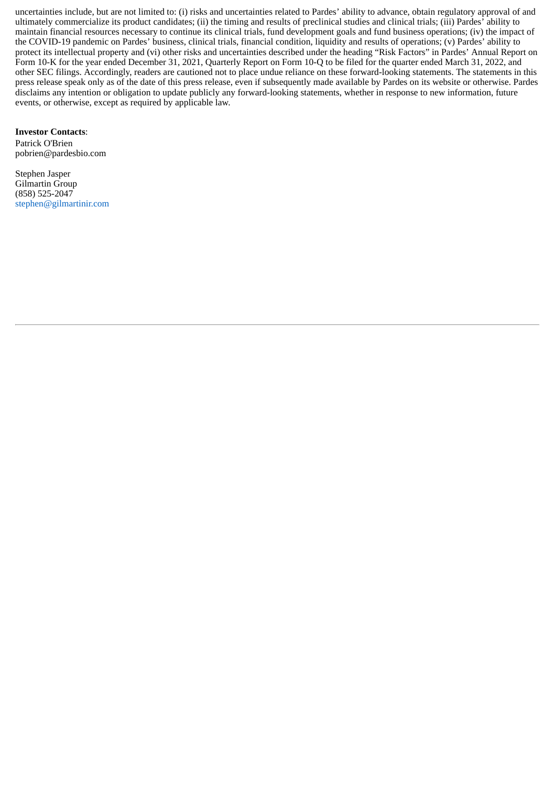uncertainties include, but are not limited to: (i) risks and uncertainties related to Pardes' ability to advance, obtain regulatory approval of and ultimately commercialize its product candidates; (ii) the timing and results of preclinical studies and clinical trials; (iii) Pardes' ability to maintain financial resources necessary to continue its clinical trials, fund development goals and fund business operations; (iv) the impact of the COVID-19 pandemic on Pardes' business, clinical trials, financial condition, liquidity and results of operations; (v) Pardes' ability to protect its intellectual property and (vi) other risks and uncertainties described under the heading "Risk Factors" in Pardes' Annual Report on Form 10-K for the year ended December 31, 2021, Quarterly Report on Form 10-Q to be filed for the quarter ended March 31, 2022, and other SEC filings. Accordingly, readers are cautioned not to place undue reliance on these forward-looking statements. The statements in this press release speak only as of the date of this press release, even if subsequently made available by Pardes on its website or otherwise. Pardes disclaims any intention or obligation to update publicly any forward-looking statements, whether in response to new information, future events, or otherwise, except as required by applicable law.

**Investor Contacts**:

Patrick O'Brien pobrien@pardesbio.com

Stephen Jasper Gilmartin Group (858) 525-2047 stephen@gilmartinir.com